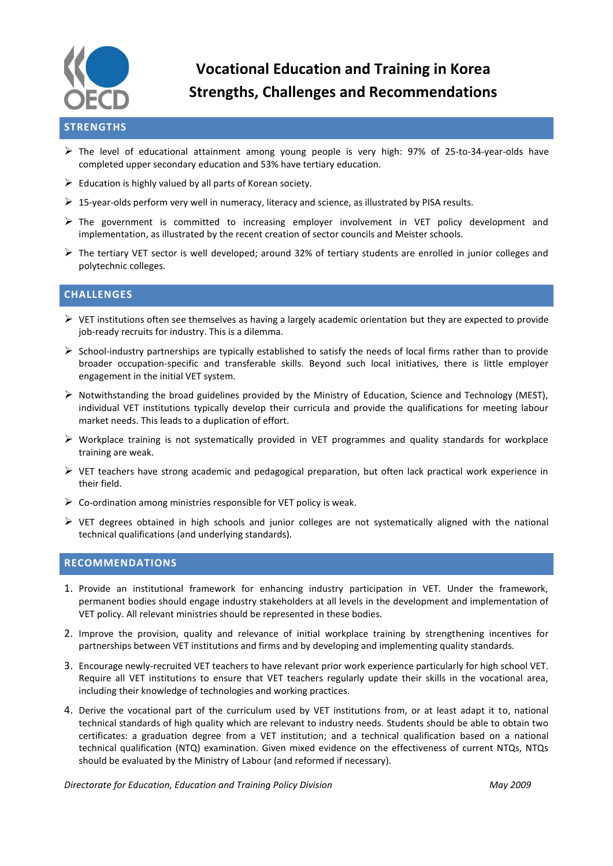

# **Vocational Education and Training in Korea Strengths, Challenges and Recommendations**

## $\triangleright$  The level of educational attainment among young people is very high: 97% of 25-to-34-year-olds have completed upper secondary education and 53% have tertiary education.

- $\triangleright$  Education is highly valued by all parts of Korean society.
- $\triangleright$  15-year-olds perform very well in numeracy, literacy and science, as illustrated by PISA results.
- $\triangleright$  The government is committed to increasing employer involvement in VET policy development and implementation, as illustrated by the recent creation of sector councils and Meister schools.
- The tertiary VET sector is well developed; around 32% of tertiary students are enrolled in junior colleges and polytechnic colleges.

## **CHALLENGES**

- $\triangleright$  VET institutions often see themselves as having a largely academic orientation but they are expected to provide job-ready recruits for industry. This is a dilemma.
- $\triangleright$  School-industry partnerships are typically established to satisfy the needs of local firms rather than to provide broader occupation-specific and transferable skills. Beyond such local initiatives, there is little employer engagement in the initial VET system.
- $\triangleright$  Notwithstanding the broad guidelines provided by the Ministry of Education, Science and Technology (MEST), individual VET institutions typically develop their curricula and provide the qualifications for meeting labour market needs. This leads to a duplication of effort.
- Workplace training is not systematically provided in VET programmes and quality standards for workplace training are weak.
- $\triangleright$  VET teachers have strong academic and pedagogical preparation, but often lack practical work experience in their field.
- $\triangleright$  Co-ordination among ministries responsible for VET policy is weak.
- $\triangleright$  VET degrees obtained in high schools and junior colleges are not systematically aligned with the national technical qualifications (and underlying standards).

## **RECOMMENDATIONS**

- 1. Provide an institutional framework for enhancing industry participation in VET. Under the framework, permanent bodies should engage industry stakeholders at all levels in the development and implementation of VET policy. All relevant ministries should be represented in these bodies.
- 2. Improve the provision, quality and relevance of initial workplace training by strengthening incentives for partnerships between VET institutions and firms and by developing and implementing quality standards.
- 3. Encourage newly-recruited VET teachers to have relevant prior work experience particularly for high school VET. Require all VET institutions to ensure that VET teachers regularly update their skills in the vocational area, including their knowledge of technologies and working practices.
- 4. Derive the vocational part of the curriculum used by VET institutions from, or at least adapt it to, national technical standards of high quality which are relevant to industry needs. Students should be able to obtain two certificates: a graduation degree from a VET institution; and a technical qualification based on a national technical qualification (NTQ) examination. Given mixed evidence on the effectiveness of current NTQs, NTQs should be evaluated by the Ministry of Labour (and reformed if necessary).